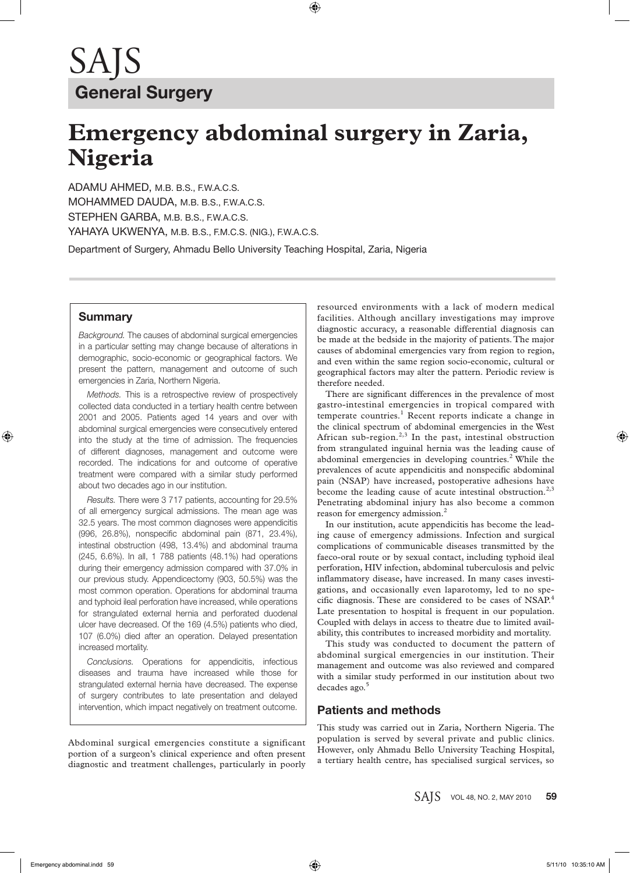# **Emergency abdominal surgery in Zaria, Nigeria**

ADAMU AHMED, M.B. B.S., F.W.A.C.S. MOHAMMED DAUDA, M.B. B.S., F.W.A.C.S. STEPHEN GARBA, M.B. B.S., F.W.A.C.S. YAHAYA UKWENYA, M.B. B.S., F.M.C.S. (NIG.), F.W.A.C.S.

Department of Surgery, Ahmadu Bello University Teaching Hospital, Zaria, Nigeria

### **Summary**

*Background.* The causes of abdominal surgical emergencies in a particular setting may change because of alterations in demographic, socio-economic or geographical factors. We present the pattern, management and outcome of such emergencies in Zaria, Northern Nigeria.

*Methods.* This is a retrospective review of prospectively collected data conducted in a tertiary health centre between 2001 and 2005. Patients aged 14 years and over with abdominal surgical emergencies were consecutively entered into the study at the time of admission. The frequencies of different diagnoses, management and outcome were recorded. The indications for and outcome of operative treatment were compared with a similar study performed about two decades ago in our institution.

*Results.* There were 3 717 patients, accounting for 29.5% of all emergency surgical admissions. The mean age was 32.5 years. The most common diagnoses were appendicitis (996, 26.8%), nonspecific abdominal pain (871, 23.4%), intestinal obstruction (498, 13.4%) and abdominal trauma (245, 6.6%). In all, 1 788 patients (48.1%) had operations during their emergency admission compared with 37.0% in our previous study. Appendicectomy (903, 50.5%) was the most common operation. Operations for abdominal trauma and typhoid ileal perforation have increased, while operations for strangulated external hernia and perforated duodenal ulcer have decreased. Of the 169 (4.5%) patients who died, 107 (6.0%) died after an operation. Delayed presentation increased mortality.

*Conclusions.* Operations for appendicitis, infectious diseases and trauma have increased while those for strangulated external hernia have decreased. The expense of surgery contributes to late presentation and delayed intervention, which impact negatively on treatment outcome.

Abdominal surgical emergencies constitute a significant portion of a surgeon's clinical experience and often present diagnostic and treatment challenges, particularly in poorly resourced environments with a lack of modern medical facilities. Although ancillary investigations may improve diagnostic accuracy, a reasonable differential diagnosis can be made at the bedside in the majority of patients. The major causes of abdominal emergencies vary from region to region, and even within the same region socio-economic, cultural or geographical factors may alter the pattern. Periodic review is therefore needed.

There are significant differences in the prevalence of most gastro-intestinal emergencies in tropical compared with temperate countries.<sup>1</sup> Recent reports indicate a change in the clinical spectrum of abdominal emergencies in the West African sub-region.<sup>2,3</sup> In the past, intestinal obstruction from strangulated inguinal hernia was the leading cause of abdominal emergencies in developing countries. $2$  While the prevalences of acute appendicitis and nonspecific abdominal pain (NSAP) have increased, postoperative adhesions have become the leading cause of acute intestinal obstruction.<sup>2,3</sup> Penetrating abdominal injury has also become a common reason for emergency admission.<sup>2</sup>

In our institution, acute appendicitis has become the leading cause of emergency admissions. Infection and surgical complications of communicable diseases transmitted by the faeco-oral route or by sexual contact, including typhoid ileal perforation, HIV infection, abdominal tuberculosis and pelvic inflammatory disease, have increased. In many cases investigations, and occasionally even laparotomy, led to no specific diagnosis. These are considered to be cases of NSAP.<sup>4</sup> Late presentation to hospital is frequent in our population. Coupled with delays in access to theatre due to limited availability, this contributes to increased morbidity and mortality.

This study was conducted to document the pattern of abdominal surgical emergencies in our institution. Their management and outcome was also reviewed and compared with a similar study performed in our institution about two decades ago.<sup>5</sup>

### **Patients and methods**

This study was carried out in Zaria, Northern Nigeria. The population is served by several private and public clinics. However, only Ahmadu Bello University Teaching Hospital, a tertiary health centre, has specialised surgical services, so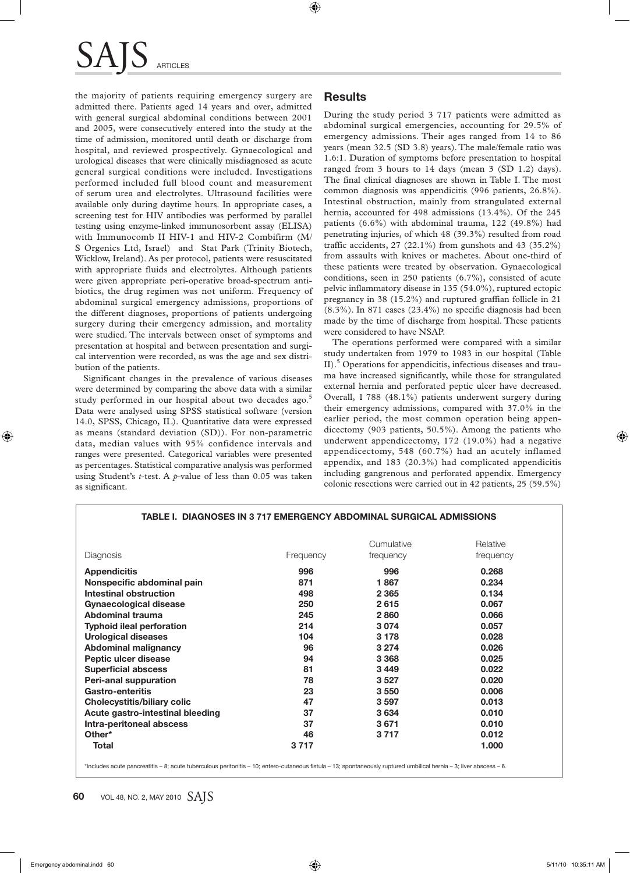## SAI ARTICLES

the majority of patients requiring emergency surgery are admitted there. Patients aged 14 years and over, admitted with general surgical abdominal conditions between 2001 and 2005, were consecutively entered into the study at the time of admission, monitored until death or discharge from hospital, and reviewed prospectively. Gynaecological and urological diseases that were clinically misdiagnosed as acute general surgical conditions were included. Investigations performed included full blood count and measurement of serum urea and electrolytes. Ultrasound facilities were available only during daytime hours. In appropriate cases, a screening test for HIV antibodies was performed by parallel testing using enzyme-linked immunosorbent assay (ELISA) with Immunocomb II HIV-1 and HIV-2 Combifirm (M/ S Orgenics Ltd, Israel) and Stat Park (Trinity Biotech, Wicklow, Ireland). As per protocol, patients were resuscitated with appropriate fluids and electrolytes. Although patients were given appropriate peri-operative broad-spectrum antibiotics, the drug regimen was not uniform. Frequency of abdominal surgical emergency admissions, proportions of the different diagnoses, proportions of patients undergoing surgery during their emergency admission, and mortality were studied. The intervals between onset of symptoms and presentation at hospital and between presentation and surgical intervention were recorded, as was the age and sex distribution of the patients.

Significant changes in the prevalence of various diseases were determined by comparing the above data with a similar study performed in our hospital about two decades ago.<sup>5</sup> Data were analysed using SPSS statistical software (version 14.0, SPSS, Chicago, IL). Quantitative data were expressed as means (standard deviation (SD)). For non-parametric data, median values with 95% confidence intervals and ranges were presented. Categorical variables were presented as percentages. Statistical comparative analysis was performed using Student's *t*-test. A *p*-value of less than 0.05 was taken as significant.

## **Results**

During the study period 3 717 patients were admitted as abdominal surgical emergencies, accounting for 29.5% of emergency admissions. Their ages ranged from 14 to 86 years (mean 32.5 (SD 3.8) years). The male/female ratio was 1.6:1. Duration of symptoms before presentation to hospital ranged from 3 hours to 14 days (mean 3 (SD 1.2) days). The final clinical diagnoses are shown in Table I. The most common diagnosis was appendicitis (996 patients, 26.8%). Intestinal obstruction, mainly from strangulated external hernia, accounted for 498 admissions (13.4%). Of the 245 patients (6.6%) with abdominal trauma, 122 (49.8%) had penetrating injuries, of which 48 (39.3%) resulted from road traffic accidents, 27 (22.1%) from gunshots and 43 (35.2%) from assaults with knives or machetes. About one-third of these patients were treated by observation. Gynaecological conditions, seen in 250 patients (6.7%), consisted of acute pelvic inflammatory disease in 135 (54.0%), ruptured ectopic pregnancy in 38 (15.2%) and ruptured graffian follicle in 21 (8.3%). In 871 cases (23.4%) no specific diagnosis had been made by the time of discharge from hospital. These patients were considered to have NSAP.

The operations performed were compared with a similar study undertaken from 1979 to 1983 in our hospital (Table II).<sup>5</sup> Operations for appendicitis, infectious diseases and trauma have increased significantly, while those for strangulated external hernia and perforated peptic ulcer have decreased. Overall, 1 788 (48.1%) patients underwent surgery during their emergency admissions, compared with 37.0% in the earlier period, the most common operation being appendicectomy (903 patients, 50.5%). Among the patients who underwent appendicectomy, 172 (19.0%) had a negative appendicectomy, 548 (60.7%) had an acutely inflamed appendix, and 183 (20.3%) had complicated appendicitis including gangrenous and perforated appendix. Emergency colonic resections were carried out in 42 patients, 25 (59.5%)

| Diagnosis                          | Frequency | Cumulative<br>frequency | Relative<br>frequency |
|------------------------------------|-----------|-------------------------|-----------------------|
| <b>Appendicitis</b>                | 996       | 996                     | 0.268                 |
| Nonspecific abdominal pain         | 871       | 1867                    | 0.234                 |
| Intestinal obstruction             | 498       | 2 3 6 5                 | 0.134                 |
| Gynaecological disease             | 250       | 2615                    | 0.067                 |
| Abdominal trauma                   | 245       | 2860                    | 0.066                 |
| <b>Typhoid ileal perforation</b>   | 214       | 3 0 7 4                 | 0.057                 |
| <b>Urological diseases</b>         | 104       | 3 1 7 8                 | 0.028                 |
| Abdominal malignancy               | 96        | 3 2 7 4                 | 0.026                 |
| Peptic ulcer disease               | 94        | 3 3 6 8                 | 0.025                 |
| <b>Superficial abscess</b>         | 81        | 3449                    | 0.022                 |
| Peri-anal suppuration              | 78        | 3527                    | 0.020                 |
| Gastro-enteritis                   | 23        | 3 5 5 0                 | 0.006                 |
| <b>Cholecystitis/biliary colic</b> | 47        | 3597                    | 0.013                 |
| Acute gastro-intestinal bleeding   | 37        | 3 6 3 4                 | 0.010                 |
| Intra-peritoneal abscess           | 37        | 3671                    | 0.010                 |
| Other*                             | 46        | 3 7 1 7                 | 0.012                 |
| Total                              | 3 7 1 7   |                         | 1.000                 |

#### **TABLE I. DIAGNOSES IN 3 717 EMERGENCY ABDOMINAL SURGICAL ADMISSIONS**

\*Includes acute pancreatitis – 8; acute tuberculous peritonitis – 10; entero-cutaneous fistula – 13; spontaneously ruptured umbilical hernia – 3; liver abscess – 6.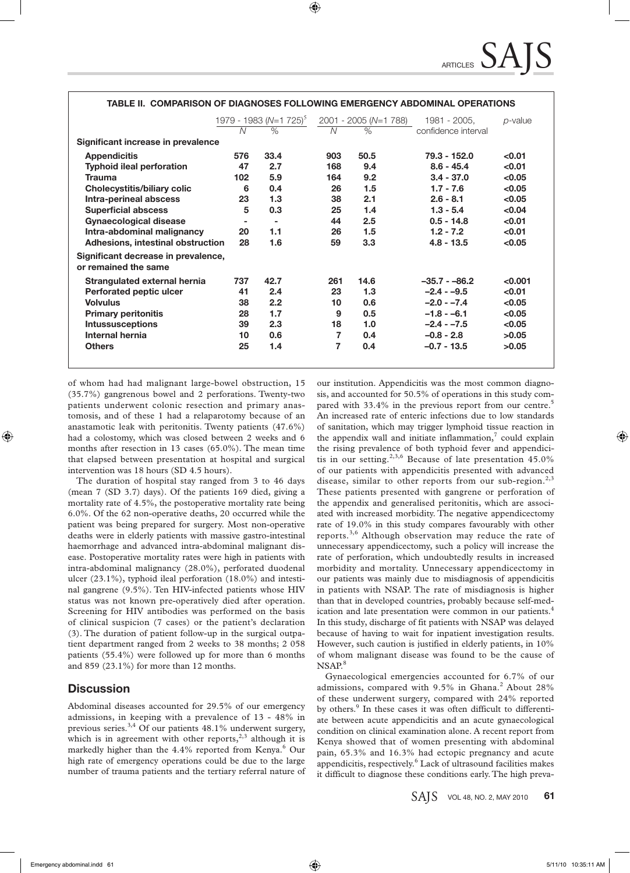|                                                             | N      | 1979 - 1983 (N=1 725) <sup>5</sup><br>$\%$ | $\overline{N}$ | 2001 - 2005 (N=1 788)<br>$\%$ | 1981 - 2005,<br>confidence interval | p-value |
|-------------------------------------------------------------|--------|--------------------------------------------|----------------|-------------------------------|-------------------------------------|---------|
| Significant increase in prevalence                          |        |                                            |                |                               |                                     |         |
| <b>Appendicitis</b>                                         | 576    | 33.4                                       | 903            | 50.5                          | $79.3 - 152.0$                      | < 0.01  |
| <b>Typhoid ileal perforation</b>                            | 47     | 2.7                                        | 168            | 9.4                           | $8.6 - 45.4$                        | < 0.01  |
| <b>Trauma</b>                                               | 102    | 5.9                                        | 164            | 9.2                           | $3.4 - 37.0$                        | < 0.05  |
| <b>Cholecystitis/biliary colic</b>                          | 6      | 0.4                                        | 26             | 1.5                           | $1.7 - 7.6$                         | < 0.05  |
| Intra-perineal abscess                                      | 23     | 1.3                                        | 38             | 2.1                           | $2.6 - 8.1$                         | < 0.05  |
| <b>Superficial abscess</b>                                  | 5      | 0.3                                        | 25             | 1.4                           | $1.3 - 5.4$                         | < 0.04  |
| <b>Gynaecological disease</b>                               | $\sim$ | $\sim$                                     | 44             | 2.5                           | $0.5 - 14.8$                        | < 0.01  |
| Intra-abdominal malignancy                                  | 20     | 1.1                                        | 26             | 1.5                           | $1.2 - 7.2$                         | < 0.01  |
| Adhesions, intestinal obstruction                           | 28     | 1.6                                        | 59             | 3.3                           | $4.8 - 13.5$                        | < 0.05  |
| Significant decrease in prevalence,<br>or remained the same |        |                                            |                |                               |                                     |         |
| Strangulated external hernia                                | 737    | 42.7                                       | 261            | 14.6                          | $-35.7 - 86.2$                      | < 0.001 |
| Perforated peptic ulcer                                     | 41     | 2.4                                        | 23             | 1.3                           | $-2.4 - -9.5$                       | < 0.01  |
| <b>Volvulus</b>                                             | 38     | 2.2                                        | 10             | 0.6                           | $-2.0 - -7.4$                       | < 0.05  |
| <b>Primary peritonitis</b>                                  | 28     | 1.7                                        | 9              | 0.5                           | $-1.8 - -6.1$                       | < 0.05  |
| <b>Intussusceptions</b>                                     | 39     | 2.3                                        | 18             | 1.0                           | $-2.4 - -7.5$                       | < 0.05  |
| Internal hernia                                             | 10     | 0.6                                        | 7              | 0.4                           | $-0.8 - 2.8$                        | >0.05   |
| <b>Others</b>                                               | 25     | 1.4                                        | 7              | 0.4                           | $-0.7 - 13.5$                       | >0.05   |

#### **TABLE II. COMPARISON OF DIAGNOSES FOLLOWING EMERGENCY ABDOMINAL OPERATIONS**

of whom had had malignant large-bowel obstruction, 15 (35.7%) gangrenous bowel and 2 perforations. Twenty-two patients underwent colonic resection and primary anastomosis, and of these 1 had a relaparotomy because of an anastamotic leak with peritonitis. Twenty patients (47.6%) had a colostomy, which was closed between 2 weeks and 6 months after resection in 13 cases (65.0%). The mean time that elapsed between presentation at hospital and surgical intervention was 18 hours (SD 4.5 hours).

The duration of hospital stay ranged from 3 to 46 days (mean 7 (SD 3.7) days). Of the patients 169 died, giving a mortality rate of 4.5%, the postoperative mortality rate being 6.0%. Of the 62 non-operative deaths, 20 occurred while the patient was being prepared for surgery. Most non-operative deaths were in elderly patients with massive gastro-intestinal haemorrhage and advanced intra-abdominal malignant disease. Postoperative mortality rates were high in patients with intra-abdominal malignancy (28.0%), perforated duodenal ulcer (23.1%), typhoid ileal perforation (18.0%) and intestinal gangrene (9.5%). Ten HIV-infected patients whose HIV status was not known pre-operatively died after operation. Screening for HIV antibodies was performed on the basis of clinical suspicion (7 cases) or the patient's declaration (3). The duration of patient follow-up in the surgical outpatient department ranged from 2 weeks to 38 months; 2 058 patients (55.4%) were followed up for more than 6 months and 859 (23.1%) for more than 12 months.

## **Discussion**

Abdominal diseases accounted for 29.5% of our emergency admissions, in keeping with a prevalence of 13 - 48% in previous series. $^{3,4}$  Of our patients 48.1% underwent surgery, which is in agreement with other reports, $2,3$  although it is markedly higher than the  $4.4\%$  reported from Kenya. $^6$  Our high rate of emergency operations could be due to the large number of trauma patients and the tertiary referral nature of

our institution. Appendicitis was the most common diagnosis, and accounted for 50.5% of operations in this study compared with 33.4% in the previous report from our centre.<sup>5</sup> An increased rate of enteric infections due to low standards of sanitation, which may trigger lymphoid tissue reaction in the appendix wall and initiate inflammation, $\frac{7}{1}$  could explain the rising prevalence of both typhoid fever and appendicitis in our setting.<sup>2,3,6</sup> Because of late presentation  $45.0\%$ of our patients with appendicitis presented with advanced disease, similar to other reports from our sub-region.<sup>2,3</sup> These patients presented with gangrene or perforation of the appendix and generalised peritonitis, which are associated with increased morbidity. The negative appendicectomy rate of 19.0% in this study compares favourably with other reports.3,6 Although observation may reduce the rate of unnecessary appendicectomy, such a policy will increase the rate of perforation, which undoubtedly results in increased morbidity and mortality. Unnecessary appendicectomy in our patients was mainly due to misdiagnosis of appendicitis in patients with NSAP. The rate of misdiagnosis is higher than that in developed countries, probably because self-medication and late presentation were common in our patients.4 In this study, discharge of fit patients with NSAP was delayed because of having to wait for inpatient investigation results. However, such caution is justified in elderly patients, in 10% of whom malignant disease was found to be the cause of NSAP.<sup>8</sup>

Gynaecological emergencies accounted for 6.7% of our admissions, compared with 9.5% in Ghana.<sup>2</sup> About 28% of these underwent surgery, compared with 24% reported by others.<sup>9</sup> In these cases it was often difficult to differentiate between acute appendicitis and an acute gynaecological condition on clinical examination alone. A recent report from Kenya showed that of women presenting with abdominal pain, 65.3% and 16.3% had ectopic pregnancy and acute appendicitis, respectively.<sup>6</sup> Lack of ultrasound facilities makes it difficult to diagnose these conditions early. The high preva